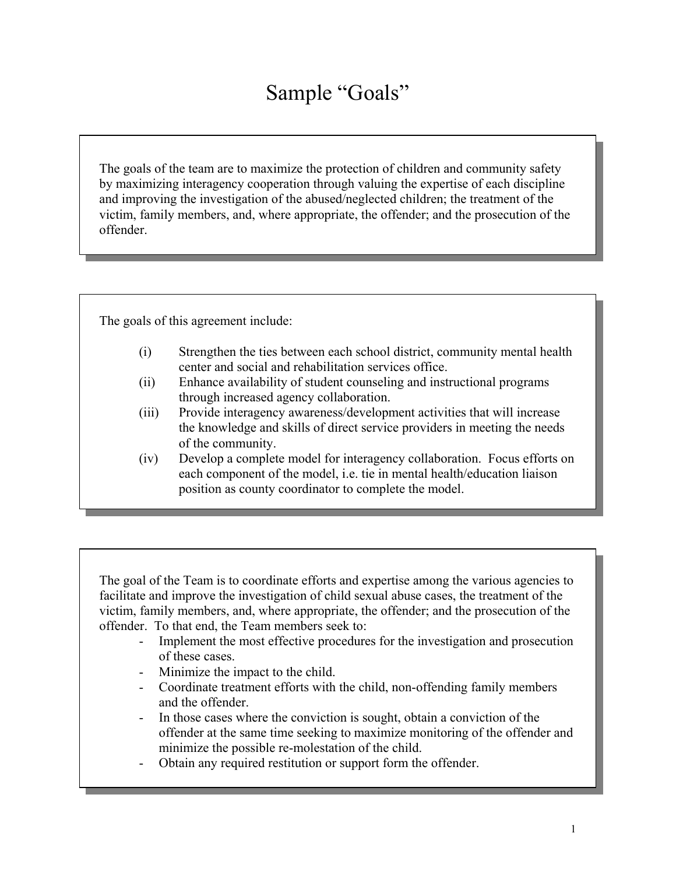## Sample "Goals"

The goals of the team are to maximize the protection of children and community safety by maximizing interagency cooperation through valuing the expertise of each discipline and improving the investigation of the abused/neglected children; the treatment of the victim, family members, and, where appropriate, the offender; and the prosecution of the offender.

The goals of this agreement include:

- (i) Strengthen the ties between each school district, community mental health center and social and rehabilitation services office.
- (ii) Enhance availability of student counseling and instructional programs through increased agency collaboration.
- (iii) Provide interagency awareness/development activities that will increase the knowledge and skills of direct service providers in meeting the needs of the community.
- (iv) Develop a complete model for interagency collaboration. Focus efforts on each component of the model, i.e. tie in mental health/education liaison position as county coordinator to complete the model.

The goal of the Team is to coordinate efforts and expertise among the various agencies to facilitate and improve the investigation of child sexual abuse cases, the treatment of the victim, family members, and, where appropriate, the offender; and the prosecution of the offender. To that end, the Team members seek to:

- Implement the most effective procedures for the investigation and prosecution of these cases.
- Minimize the impact to the child.
- Coordinate treatment efforts with the child, non-offending family members and the offender.
- In those cases where the conviction is sought, obtain a conviction of the offender at the same time seeking to maximize monitoring of the offender and minimize the possible re-molestation of the child.
- Obtain any required restitution or support form the offender.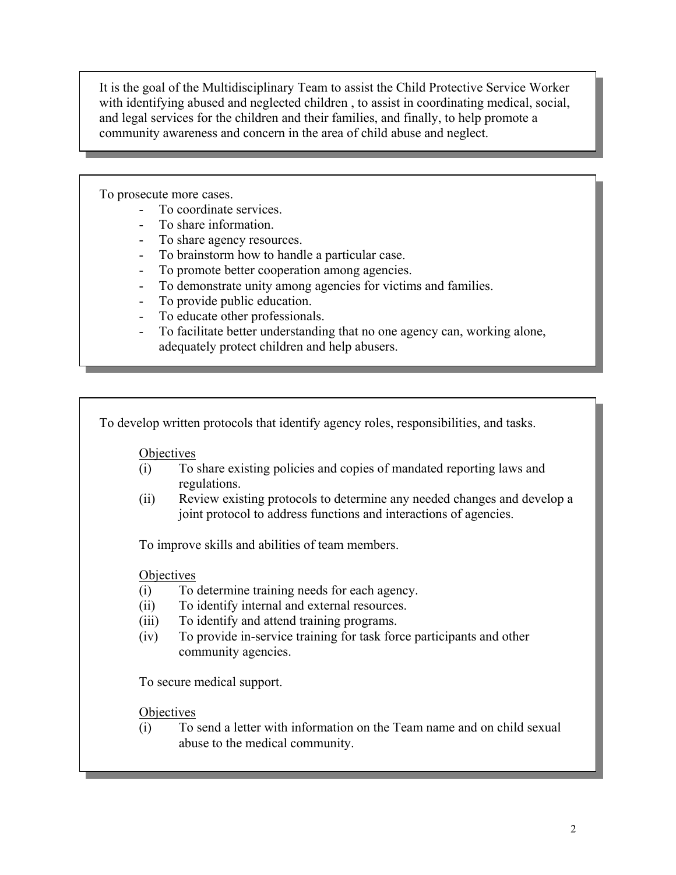It is the goal of the Multidisciplinary Team to assist the Child Protective Service Worker with identifying abused and neglected children , to assist in coordinating medical, social, and legal services for the children and their families, and finally, to help promote a community awareness and concern in the area of child abuse and neglect.

To prosecute more cases.

- To coordinate services.
- To share information.
- To share agency resources.
- To brainstorm how to handle a particular case.
- To promote better cooperation among agencies.<br>- To demonstrate unity among agencies for victim
- To demonstrate unity among agencies for victims and families.
- To provide public education.
- To educate other professionals.
- To facilitate better understanding that no one agency can, working alone, adequately protect children and help abusers.

To develop written protocols that identify agency roles, responsibilities, and tasks.

**Objectives** 

- (i) To share existing policies and copies of mandated reporting laws and regulations.
- (ii) Review existing protocols to determine any needed changes and develop a joint protocol to address functions and interactions of agencies.

To improve skills and abilities of team members.

**Objectives** 

- (i) To determine training needs for each agency.
- (ii) To identify internal and external resources.
- (iii) To identify and attend training programs.
- (iv) To provide in-service training for task force participants and other community agencies.

To secure medical support.

**Objectives** 

(i) To send a letter with information on the Team name and on child sexual abuse to the medical community.